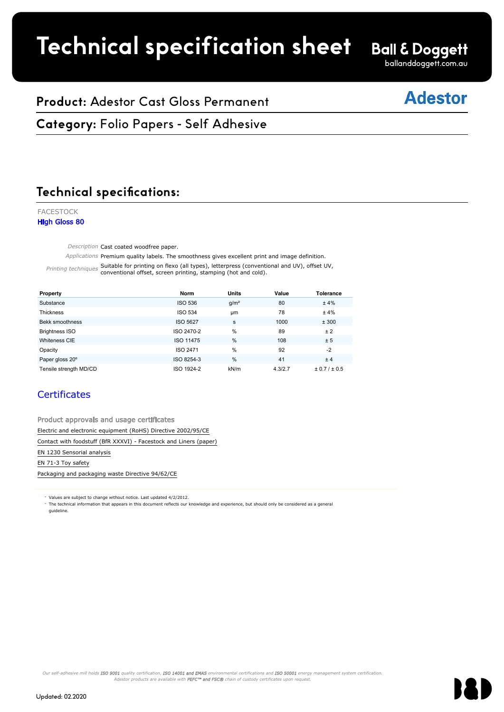# **Technical specification sheet**

# **Ball & Doggett**

ballanddoggett.com.au

## **Adestor**

## **Product:** Adestor Cast Gloss Permanent

**Category:** Folio Papers - Self Adhesive FACESTOCK

#### **Technical specifications:** Technical specifications.

FACESTOCK High Gloss 80

Description Cast coated woodfree paper.

Applications Premium quality labels. The smoothness gives excellent print and image definition.

**Property Norm Units Value Tolerance**

Printing techniques Suitable for printing on flexo (all types), letterpress (conventional and UV), offset UV,<br>conventional offset, screen printing, stamping (hot and cold). le for printing on flexo (all types), letterpress (conventional and UV), offset UV,  $\mathcal{L}$  and  $\mathcal{L}$  2471  $\mathcal{L}$  2471  $\mathcal{L}$  2471  $\mathcal{L}$  2471  $\mathcal{L}$  2471  $\mathcal{L}$  2471  $\mathcal{L}$  2471  $\mathcal{L}$  2471  $\mathcal{L}$  2471  $\mathcal{L}$  2471  $\mathcal{L}$  2471  $\mathcal{L}$  2471  $\mathcal{L}$  2471  $\mathcal{L}$  2471  $\mathcal{L}$  247

| Property                                                          | <b>Norm</b>     | Units            |         | <b>Tolerance</b> |
|-------------------------------------------------------------------|-----------------|------------------|---------|------------------|
| Substance                                                         | <b>ISO 536</b>  | g/m <sup>2</sup> | 80      | ±4%              |
| Thickness                                                         | <b>ISO 534</b>  | <b>um</b>        | 78      | ±4%              |
| Bekk smoothness                                                   | <b>ISO 5627</b> | s                | 1000    | ± 300            |
| <b>Brightness ISO</b>                                             | ISO 2470-2      | %                | 89      | ± 2              |
| <b>Whiteness CIE</b>                                              | ISO 11475       | %                | 108     | ± 5              |
| Opacity                                                           | <b>ISO 2471</b> | %                | 92      | $-2$             |
| Paper gloss 20°                                                   | ISO 8254-3      | %                | 41      | ±4               |
| Tensile strength MD/CD                                            | ISO 1924-2      | kN/m             | 4.3/2.7 | ± 0.7 / ± 0.5    |
| <b>Certificates</b>                                               |                 |                  |         |                  |
| Product approvals and usage certificates                          |                 |                  |         |                  |
| Electric and electronic equipment (RoHS) Directive 2002/95/CE     |                 |                  |         |                  |
| Contact with foodstuff (BfR XXXVI) - Facestock and Liners (paper) |                 |                  |         |                  |
| EN 1230 Sensorial analysis                                        |                 |                  |         |                  |
| EN 71-3 Toy safety                                                |                 |                  |         |                  |
| Bestesian and perfection weeks Birostive 04/63/65                 |                 |                  |         |                  |

#### **Certificates**

Product approvals and usage certificates expression of the state of the state of the state of the state of the Electric and electronic equipment (RoHS) Directive 2002/95/CE

Packaging and packaging waste Directive 94/62/CE

Values are subject to change without notice. Last updated 4/2/2012.

The technical information that appears in this document reflects our knowledge and experience, but should only be considered as a general guideline.

Our self-adhesive mill holds ISO 9001 quality certification, ISO 14001 and EMAS environmental certifications and ISO 50001 energy management system certification Adestor products are available with **PEFC™ and FSC®** chain of custody certificates upon request.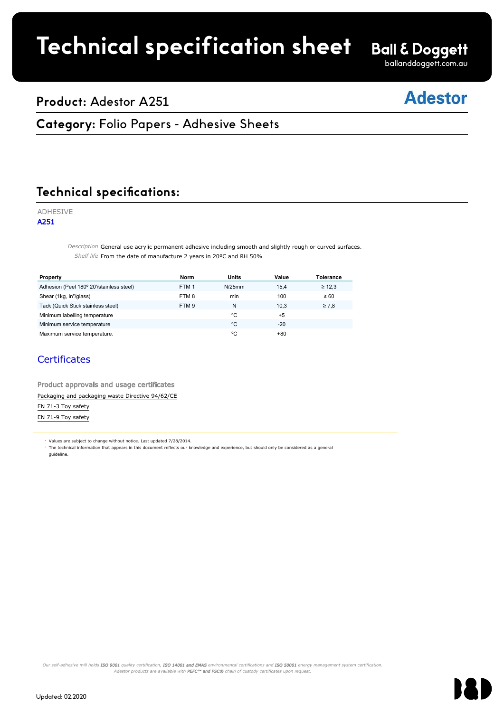# **Technical specification sheet**

**Ball & Doggett** ballanddoggett.com.au

### **Product:** Adestor A251

## **Adestor**

### **Category: Folio Papers - Adhesive Sheets**

Faces of the contract of the contract of the contract of the contract of the contract of the contract of the c

#### **Technical specifications:** Technical specific

#### ADHESIVE

A251

Description General use acrylic permanent adhesive including smooth and slightly rough or curved surfaces. Shelf life From the date of manufacture 2 years in 20°C and RH 50%

| Property                                                                                                                                                                                                                          | <b>Norm</b>      | <b>Units</b> | Value | <b>Tolerance</b> |  |  |  |
|-----------------------------------------------------------------------------------------------------------------------------------------------------------------------------------------------------------------------------------|------------------|--------------|-------|------------------|--|--|--|
| Adhesion (Peel 180° 20'/stainless steel)                                                                                                                                                                                          | FTM <sub>1</sub> | N/25mm       | 15,4  | $\geq 12.3$      |  |  |  |
| Shear (1kg, in <sup>2</sup> /glass)                                                                                                                                                                                               | FTM8             | min          | 100   | $\geq 60$        |  |  |  |
| Tack (Quick Stick stainless steel)                                                                                                                                                                                                | FTM <sub>9</sub> | N            | 10,3  | $\geq 7,8$       |  |  |  |
| Minimum labelling temperature                                                                                                                                                                                                     |                  | °C           | $+5$  |                  |  |  |  |
| Minimum service temperature                                                                                                                                                                                                       |                  | °C           | $-20$ |                  |  |  |  |
| Maximum service temperature.                                                                                                                                                                                                      |                  | °C           | $+80$ |                  |  |  |  |
| <b>Certificates</b><br>Product approvals and usage certificates                                                                                                                                                                   |                  |              |       |                  |  |  |  |
| Packaging and packaging waste Directive 94/62/CE                                                                                                                                                                                  |                  |              |       |                  |  |  |  |
| EN 71-3 Toy safety                                                                                                                                                                                                                |                  |              |       |                  |  |  |  |
| EN 71-9 Toy safety                                                                                                                                                                                                                |                  |              |       |                  |  |  |  |
| * Values are subject to change without notice. Last updated 7/28/2014.<br>The technical information that appears in this document reflects our knowledge and experience, but should only be considered as a general<br>quideline. |                  |              |       |                  |  |  |  |

#### **Certificates**

#### Product approvals and usage certificates Packaging and packaging waste Directive 94/62/CE Packaging and packaging waste Directive 94/62/CE

Our self-adhesive mill holds ISO 9001 quality certification, ISO 14001 and EMAS environmental certifications and ISO 50001 energy management system certification. Adestor products are available with PEFC™ and FSC® chain of custody certificates upon request